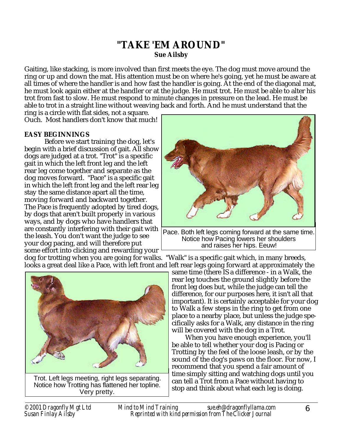# **"TAKE 'EM AROUND" Sue Ailsby**

Gaiting, like stacking, is more involved than first meets the eye. The dog must move around the ring or up and down the mat. His attention must be on where he's going, yet he must be aware at all times of where the handler is and how fast the handler is going. At the end of the diagonal mat, he must look again either at the handler or at the judge. He must trot. He must be able to alter his trot from fast to slow. He must respond to minute changes in pressure on the lead. He must be able to trot in a straight line without weaving back and forth. And he must understand that the

ring is a circle with flat sides, not a square. Ouch. Most handlers don't know that much!

## **EASY BEGINNINGS**

Before we start training the dog, let's begin with a brief discussion of gait. All show dogs are judged at a trot. "Trot" is a specific gait in which the left front leg and the left rear leg come together and separate as the dog moves forward. "Pace" is a specific gait in which the left front leg and the left rear leg stay the same distance apart all the time, moving forward and backward together. The Pace is frequently adopted by tired dogs, by dogs that aren't built properly in various ways, and by dogs who have handlers that are constantly interfering with their gait with the leash. You don't want the judge to see your dog pacing, and will therefore put some effort into clicking and rewarding your



Notice how Pacing lowers her shoulders and raises her hips. Eeuw!

dog for trotting when you are going for walks. "Walk" is a specific gait which, in many breeds, looks a great deal like a Pace, with left front and left rear legs going forward at approximately the



Trot. Left legs meeting, right legs separating. Notice how Trotting has flattened her topline. Very pretty.

same time (there IS a difference - in a Walk, the rear leg touches the ground slightly before the front leg does but, while the judge can tell the difference, for our purposes here, it isn't all that important). It is certainly acceptable for your dog to Walk a few steps in the ring to get from one place to a nearby place, but unless the judge specifically asks for a Walk, any distance in the ring will be covered with the dog in a Trot.

When you have enough experience, you'll be able to tell whether your dog is Pacing or Trotting by the feel of the loose leash, or by the sound of the dog's paws on the floor. For now, I recommend that you spend a fair amount of time simply sitting and watching dogs until you can tell a Trot from a Pace without having to stop and think about what each leg is doing.

*©2001 Dragonfly Mgt Ltd Mind to Mind Training sue.eh@dragonflyllama.com Susan Finlay Ailsby Reprinted with kind permission from The Clicker Journal*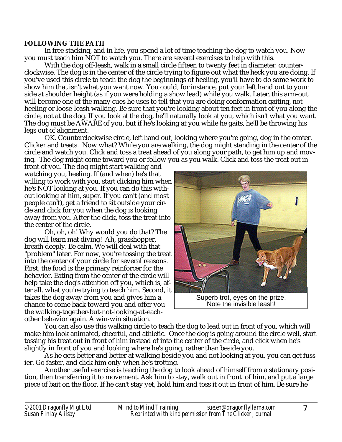#### **FOLLOWING THE PATH**

In free stacking, and in life, you spend a lot of time teaching the dog to watch you. Now you must teach him NOT to watch you. There are several exercises to help with this.

With the dog off-leash, walk in a small circle fifteen to twenty feet in diameter, counterclockwise. The dog is in the center of the circle trying to figure out what the heck you are doing. If you've used this circle to teach the dog the beginnings of heeling, you'll have to do some work to show him that isn't what you want now. You could, for instance, put your left hand out to your side at shoulder height (as if you were holding a show lead) while you walk. Later, this arm-out will become one of the many cues he uses to tell that you are doing conformation gaiting, not heeling or loose-leash walking. Be sure that you're looking about ten feet in front of you along the circle, not at the dog. If you look at the dog, he'll naturally look at you, which isn't what you want. The dog must be AWARE of you, but if he's looking at you while he gaits, he'll be throwing his legs out of alignment.

OK. Counterclockwise circle, left hand out, looking where you're going, dog in the center. Clicker and treats. Now what? While you are walking, the dog might standing in the center of the circle and watch you. Click and toss a treat ahead of you along your path, to get him up and moving. The dog might come toward you or follow you as you walk. Click and toss the treat out in

front of you. The dog might start walking and watching you, heeling. If (and when) he's that willing to work with you, start clicking him when he's NOT looking at you. If you can do this without looking at him, super. If you can't (and most people can't), get a friend to sit outside your circle and click for you when the dog is looking away from you. After the click, toss the treat into the center of the circle.

Oh, oh, oh! Why would you do that? The dog will learn mat diving! Ah, grasshopper, breath deeply. Be calm. We will deal with that "problem" later. For now, you're tossing the treat into the center of your circle for several reasons. First, the food is the primary reinforcer for the behavior. Eating from the center of the circle will help take the dog's attention off you, which is, after all. what you're trying to teach him. Second, it takes the dog away from you and gives him a chance to come back toward you and offer you the walking-together-but-not-looking-at-eachother behavior again. A win-win situation.



Note the invisible leash!

You can also use this walking circle to teach the dog to lead out in front of you, which will make him look animated, cheerful, and athletic. Once the dog is going around the circle well, start tossing his treat out in front of him instead of into the center of the circle, and click when he's slightly in front of you and looking where he's going, rather than beside you.

As he gets better and better at walking beside you and not looking at you, you can get fussier. Go faster, and click him only when he's trotting.

Another useful exercise is teaching the dog to look ahead of himself from a stationary position, then transferring it to movement. Ask him to stay, walk out in front of him, and put a large piece of bait on the floor. If he can't stay yet, hold him and toss it out in front of him. Be sure he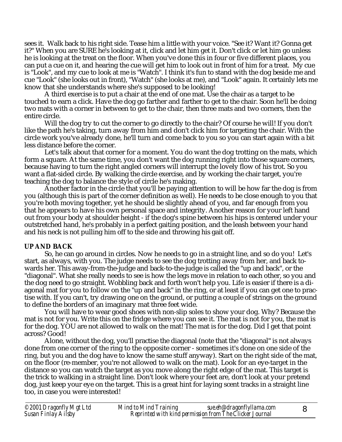sees it. Walk back to his right side. Tease him a little with your voice. "See it? Want it? Gonna get it?" When you are SURE he's looking at it, click and let him get it. Don't click or let him go unless he is looking at the treat on the floor. When you've done this in four or five different places, you can put a cue on it, and hearing the cue will get him to look out in front of him for a treat. My cue is "Look", and my cue to look at me is "Watch". I think it's fun to stand with the dog beside me and cue "Look" (she looks out in front), "Watch" (she looks at me), and "Look" again. It certainly lets me know that she understands where she's supposed to be looking!

A third exercise is to put a chair at the end of one mat. Use the chair as a target to be touched to earn a click. Have the dog go farther and farther to get to the chair. Soon he'll be doing two mats with a corner in between to get to the chair, then three mats and two corners, then the entire circle.

Will the dog try to cut the corner to go directly to the chair? Of course he will! If you don't like the path he's taking, turn away from him and don't click him for targeting the chair. With the circle work you've already done, he'll turn and come back to you so you can start again with a bit less distance before the corner.

Let's talk about that corner for a moment. You do want the dog trotting on the mats, which form a square. At the same time, you don't want the dog running right into those square corners, because having to turn the right angled corners will interrupt the lovely flow of his trot. So you want a flat-sided circle. By walking the circle exercise, and by working the chair target, you're teaching the dog to balance the style of circle he's making.

Another factor in the circle that you'll be paying attention to will be how far the dog is from you (although this is part of the corner definition as well). He needs to be close enough to you that you're both moving together, yet he should be slightly ahead of you, and far enough from you that he appears to have his own personal space and integrity. Another reason for your left hand out from your body at shoulder height - if the dog's spine between his hips is centered under your outstretched hand, he's probably in a perfect gaiting position, and the leash between your hand and his neck is not pulling him off to the side and throwing his gait off.

## **UP AND BACK**

So, he can go around in circles. Now he needs to go in a straight line, and so do you! Let's start, as always, with you. The judge needs to see the dog trotting away from her, and back towards her. This away-from-the-judge and back-to-the-judge is called the "up and back", or the "diagonal". What she really needs to see is how the legs move in relation to each other, so you and the dog need to go straight. Wobbling back and forth won't help you. Life is easier if there is a diagonal mat for you to follow on the "up and back" in the ring, or at least if you can get one to practise with. If you can't, try drawing one on the ground, or putting a couple of strings on the ground to define the borders of an imaginary mat three feet wide.

You will have to wear good shoes with non-slip soles to show your dog. Why? Because the mat is not for you. Write this on the fridge where you can see it. The mat is not for you, the mat is for the dog. YOU are not allowed to walk on the mat! The mat is for the dog. Did I get that point across? Good!

Alone, without the dog, you'll practise the diagonal (note that the "diagonal" is not always done from one corner of the ring to the opposite corner - sometimes it's done on one side of the ring, but you and the dog have to know the same stuff anyway). Start on the right side of the mat, on the floor (re-member, you're not allowed to walk on the mat). Look for an eye-target in the distance so you can watch the target as you move along the right edge of the mat. This target is the trick to walking in a straight line. Don't look where your feet are, don't look at your pretend dog, just keep your eye on the target. This is a great hint for laying scent tracks in a straight line too, in case you were interested!

| ©2001 Dragonfly Mgt Ltd<br>Susan Finlay Ailsby | <b>Mind to Mind Training</b>                            | sue.eh@dragonflyllama.com |  |
|------------------------------------------------|---------------------------------------------------------|---------------------------|--|
|                                                | Reprinted with kind permission from The Clicker Journal |                           |  |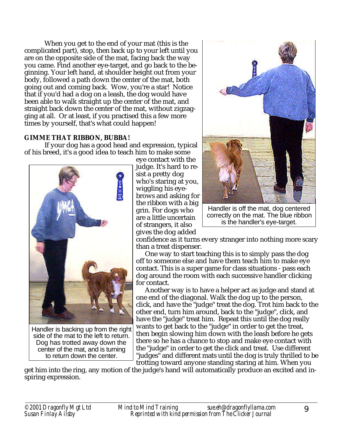When you get to the end of your mat (this is the complicated part), stop, then back up to your left until you are on the opposite side of the mat, facing back the way you came. Find another eye-target, and go back to the beginning. Your left hand, at shoulder height out from your body, followed a path down the center of the mat, both going out and coming back. Wow, you're a star! Notice that if you'd had a dog on a leash, the dog would have been able to walk straight up the center of the mat, and straight back down the center of the mat, without zigzagging at all. Or at least, if you practised this a few more times by yourself, that's what could happen!

## **GIMME THAT RIBBON, BUBBA!**

If your dog has a good head and expression, typical of his breed, it's a good idea to teach him to make some



side of the mat to the left to return. Dog has trotted away down the center of the mat, and is turning to return down the center.

eye contact with the judge. It's hard to resist a pretty dog who's staring at you, wiggling his eyebrows and asking for the ribbon with a big grin. For dogs who are a little uncertain of strangers, it also gives the dog added



Handler is off the mat, dog centered correctly on the mat. The blue ribbon is the handler's eye-target.

confidence as it turns every stranger into nothing more scary than a treat dispenser.

One way to start teaching this is to simply pass the dog off to someone else and have them teach him to make eye contact. This is a super game for class situations - pass each dog around the room with each successive handler clicking for contact.

Another way is to have a helper act as judge and stand at one end of the diagonal. Walk the dog up to the person, click, and have the "judge" treat the dog. Trot him back to the other end, turn him around, back to the "judge", click, and have the "judge" treat him. Repeat this until the dog really wants to get back to the "judge" in order to get the treat, then begin slowing him down with the leash before he gets there so he has a chance to stop and make eye contact with the "judge" in order to get the click and treat. Use different "judges" and different mats until the dog is truly thrilled to be trotting toward anyone standing staring at him. When you

get him into the ring, any motion of the judge's hand will automatically produce an excited and inspiring expression.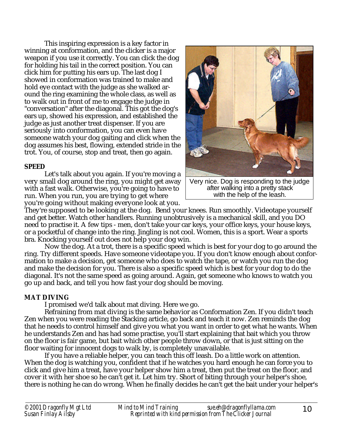This inspiring expression is a key factor in winning at conformation, and the clicker is a major weapon if you use it correctly. You can click the dog for holding his tail in the correct position. You can click him for putting his ears up. The last dog I showed in conformation was trained to make and hold eye contact with the judge as she walked around the ring examining the whole class, as well as to walk out in front of me to engage the judge in "conversation" after the diagonal. This got the dog's ears up, showed his expression, and established the judge as just another treat dispenser. If you are seriously into conformation, you can even have someone watch your dog gaiting and click when the dog assumes his best, flowing, extended stride in the trot. You, of course, stop and treat, then go again.

## **SPEED**

Let's talk about you again. If you're moving a very small dog around the ring, you might get away with a fast walk. Otherwise, you're going to have to run. When you run, you are trying to get where you're going without making everyone look at you.



Very nice. Dog is responding to the judge after walking into a pretty stack with the help of the leash.

They're supposed to be looking at the dog. Bend your knees. Run smoothly. Videotape yourself and get better. Watch other handlers. Running unobtrusively is a mechanical skill, and you DO need to practise it. A few tips - men, don't take your car keys, your office keys, your house keys, or a pocketful of change into the ring. Jingling is not cool. Women, this is a sport. Wear a sports bra. Knocking yourself out does not help your dog win.

Now the dog. At a trot, there is a specific speed which is best for your dog to go around the ring. Try different speeds. Have someone videotape you. If you don't know enough about conformation to make a decision, get someone who does to watch the tape, or watch you run the dog and make the decision for you. There is also a specific speed which is best for your dog to do the diagonal. It's not the same speed as going around. Again, get someone who knows to watch you go up and back, and tell you how fast your dog should be moving.

## **MAT DIVING**

I promised we'd talk about mat diving. Here we go.

Refraining from mat diving is the same behavior as Conformation Zen. If you didn't teach Zen when you were reading the Stacking article, go back and teach it now. Zen reminds the dog that he needs to control himself and give you what you want in order to get what he wants. When he understands Zen and has had some practise, you'll start explaining that bait which you throw on the floor is fair game, but bait which other people throw down, or that is just sitting on the floor waiting for innocent dogs to walk by, is completely unavailable.

If you have a reliable helper, you can teach this off leash. Do a little work on attention. When the dog is watching you, confident that if he watches you hard enough he can force you to click and give him a treat, have your helper show him a treat, then put the treat on the floor, and cover it with her shoe so he can't get it. Let him try. Short of biting through your helper's shoe, there is nothing he can do wrong. When he finally decides he can't get the bait under your helper's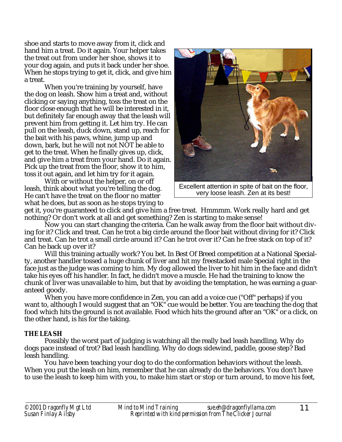shoe and starts to move away from it, click and hand him a treat. Do it again. Your helper takes the treat out from under her shoe, shows it to your dog again, and puts it back under her shoe. When he stops trying to get it, click, and give him a treat.

When you're training by yourself, have the dog on leash. Show him a treat and, without clicking or saying anything, toss the treat on the floor close enough that he will be interested in it, but definitely far enough away that the leash will prevent him from getting it. Let him try. He can pull on the leash, duck down, stand up, reach for the bait with his paws, whine, jump up and down, bark, but he will not not NOT be able to get to the treat. When he finally gives up, click, and give him a treat from your hand. Do it again. Pick up the treat from the floor, show it to him, toss it out again, and let him try for it again.

With or without the helper, on or off leash, think about what you're telling the dog. He can't have the treat on the floor no matter what he does, but as soon as he stops trying to



Excellent attention in spite of bait on the floor, very loose leash. Zen at its best!

get it, you're guaranteed to click and give him a free treat. Hmmmm. Work really hard and get nothing? Or don't work at all and get something? Zen is starting to make sense!

Now you can start changing the criteria. Can he walk away from the floor bait without diving for it? Click and treat. Can he trot a big circle around the floor bait without diving for it? Click and treat. Can he trot a small circle around it? Can he trot over it? Can he free stack on top of it? Can he back up over it?

Will this training actually work? You bet. In Best Of Breed competition at a National Specialty, another handler tossed a huge chunk of liver and hit my freestacked male Special right in the face just as the judge was coming to him. My dog allowed the liver to hit him in the face and didn't take his eyes off his handler. In fact, he didn't move a muscle. He had the training to know the chunk of liver was unavailable to him, but that by avoiding the temptation, he was earning a guaranteed goody.

When you have more confidence in Zen, you can add a voice cue ("Off" perhaps) if you want to, although I would suggest that an "OK" cue would be better. You are teaching the dog that food which hits the ground is not available. Food which hits the ground after an "OK" or a click, on the other hand, is his for the taking.

## **THE LEASH**

Possibly the worst part of judging is watching all the really bad leash handling. Why do dogs pace instead of trot? Bad leash handling. Why do dogs sidewind, paddle, goose step? Bad leash handling.

You have been teaching your dog to do the conformation behaviors without the leash. When you put the leash on him, remember that he can already do the behaviors. You don't have to use the leash to keep him with you, to make him start or stop or turn around, to move his feet,